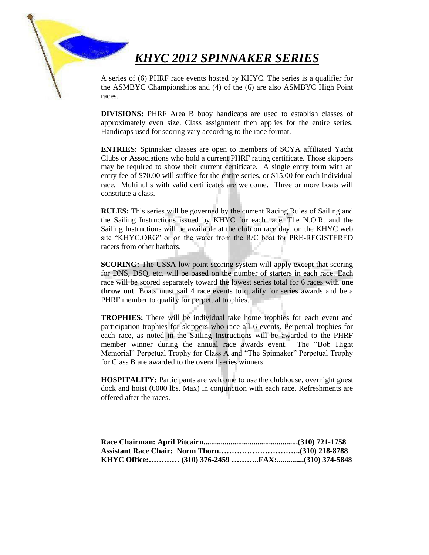## *KHYC 2012 SPINNAKER SERIES*

A series of (6) PHRF race events hosted by KHYC. The series is a qualifier for the ASMBYC Championships and (4) of the (6) are also ASMBYC High Point races.

**DIVISIONS:** PHRF Area B buoy handicaps are used to establish classes of approximately even size. Class assignment then applies for the entire series. Handicaps used for scoring vary according to the race format.

**ENTRIES:** Spinnaker classes are open to members of SCYA affiliated Yacht Clubs or Associations who hold a current PHRF rating certificate. Those skippers may be required to show their current certificate. A single entry form with an entry fee of \$70.00 will suffice for the entire series, or \$15.00 for each individual race. Multihulls with valid certificates are welcome. Three or more boats will constitute a class.

**RULES:** This series will be governed by the current Racing Rules of Sailing and the Sailing Instructions issued by KHYC for each race. The N.O.R. and the Sailing Instructions will be available at the club on race day, on the KHYC web site "KHYC.ORG" or on the water from the R/C boat for PRE-REGISTERED racers from other harbors.

**SCORING:** The USSA low point scoring system will apply except that scoring for DNS, DSQ, etc. will be based on the number of starters in each race. Each race will be scored separately toward the lowest series total for 6 races with **one throw out**. Boats must sail 4 race events to qualify for series awards and be a PHRF member to qualify for perpetual trophies.

**TROPHIES:** There will be individual take home trophies for each event and participation trophies for skippers who race all 6 events. Perpetual trophies for each race, as noted in the Sailing Instructions will be awarded to the PHRF member winner during the annual race awards event. The "Bob Hight Memorial" Perpetual Trophy for Class A and "The Spinnaker" Perpetual Trophy for Class B are awarded to the overall series winners.

**HOSPITALITY:** Participants are welcome to use the clubhouse, overnight guest dock and hoist (6000 lbs. Max) in conjunction with each race. Refreshments are offered after the races.